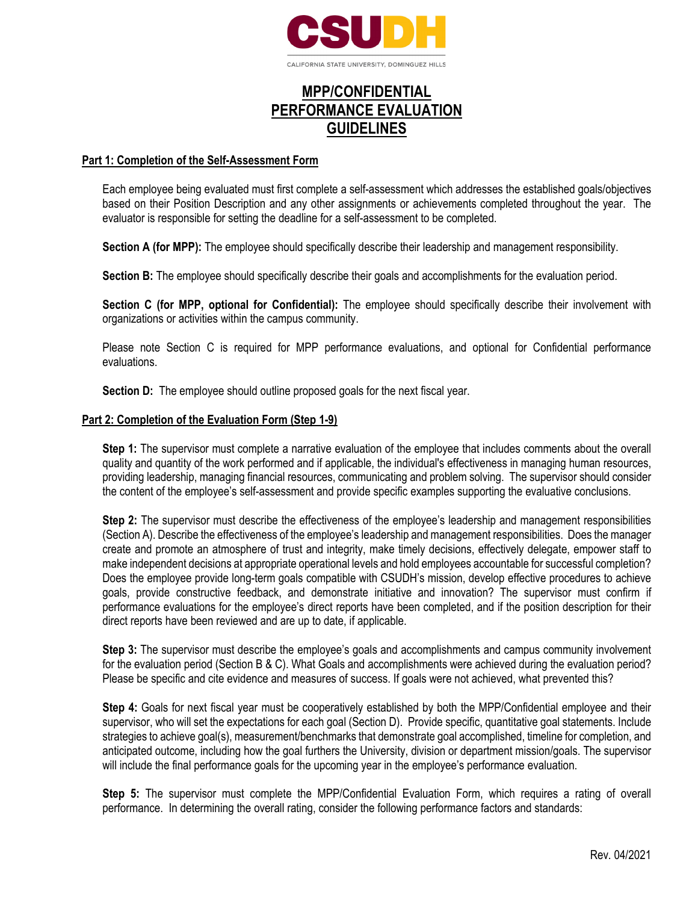

# **MPP/CONFIDENTIAL PERFORMANCE EVALUATION GUIDELINES**

#### **Part 1: Completion of the Self-Assessment Form**

Each employee being evaluated must first complete a self-assessment which addresses the established goals/objectives based on their Position Description and any other assignments or achievements completed throughout the year. The evaluator is responsible for setting the deadline for a self-assessment to be completed.

**Section A (for MPP):** The employee should specifically describe their leadership and management responsibility.

**Section B:** The employee should specifically describe their goals and accomplishments for the evaluation period.

**Section C (for MPP, optional for Confidential):** The employee should specifically describe their involvement with organizations or activities within the campus community.

Please note Section C is required for MPP performance evaluations, and optional for Confidential performance evaluations.

**Section D:** The employee should outline proposed goals for the next fiscal year.

#### **Part 2: Completion of the Evaluation Form (Step 1-9)**

**Step 1:** The supervisor must complete a narrative evaluation of the employee that includes comments about the overall quality and quantity of the work performed and if applicable, the individual's effectiveness in managing human resources, providing leadership, managing financial resources, communicating and problem solving. The supervisor should consider the content of the employee's self-assessment and provide specific examples supporting the evaluative conclusions.

**Step 2:** The supervisor must describe the effectiveness of the employee's leadership and management responsibilities (Section A). Describe the effectiveness of the employee's leadership and management responsibilities. Does the manager create and promote an atmosphere of trust and integrity, make timely decisions, effectively delegate, empower staff to make independent decisions at appropriate operational levels and hold employees accountable for successful completion? Does the employee provide long-term goals compatible with CSUDH's mission, develop effective procedures to achieve goals, provide constructive feedback, and demonstrate initiative and innovation? The supervisor must confirm if performance evaluations for the employee's direct reports have been completed, and if the position description for their direct reports have been reviewed and are up to date, if applicable.

**Step 3:** The supervisor must describe the employee's goals and accomplishments and campus community involvement for the evaluation period (Section B & C). What Goals and accomplishments were achieved during the evaluation period? Please be specific and cite evidence and measures of success. If goals were not achieved, what prevented this?

**Step 4:** Goals for next fiscal year must be cooperatively established by both the MPP/Confidential employee and their supervisor, who will set the expectations for each goal (Section D). Provide specific, quantitative goal statements. Include strategies to achieve goal(s), measurement/benchmarks that demonstrate goal accomplished, timeline for completion, and anticipated outcome, including how the goal furthers the University, division or department mission/goals. The supervisor will include the final performance goals for the upcoming year in the employee's performance evaluation.

**Step 5:** The supervisor must complete the MPP/Confidential Evaluation Form, which requires a rating of overall performance. In determining the overall rating, consider the following performance factors and standards: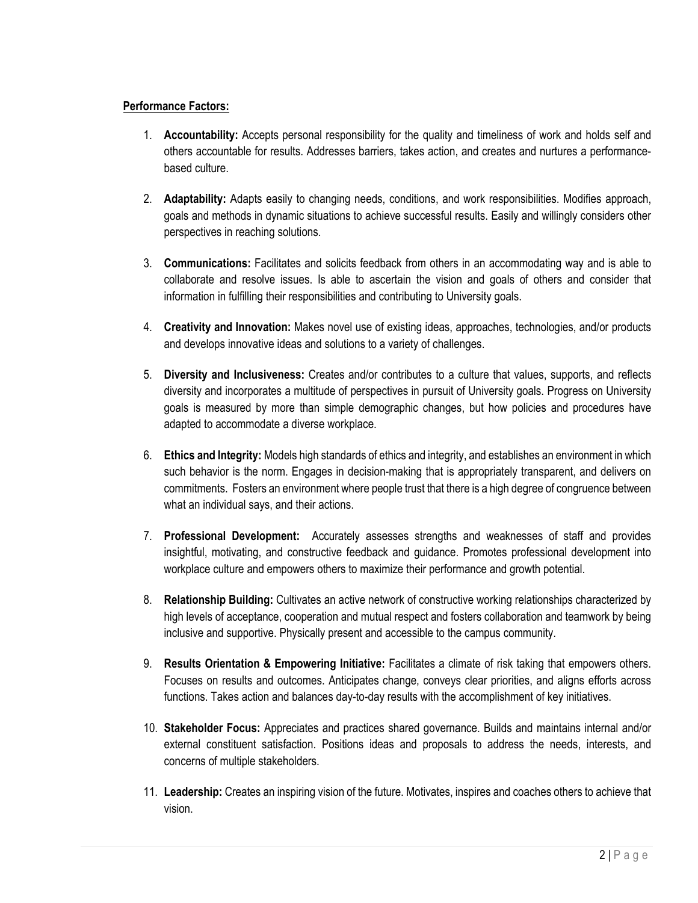## **Performance Factors:**

- 1. **Accountability:** Accepts personal responsibility for the quality and timeliness of work and holds self and others accountable for results. Addresses barriers, takes action, and creates and nurtures a performancebased culture.
- 2. **Adaptability:** Adapts easily to changing needs, conditions, and work responsibilities. Modifies approach, goals and methods in dynamic situations to achieve successful results. Easily and willingly considers other perspectives in reaching solutions.
- 3. **Communications:** Facilitates and solicits feedback from others in an accommodating way and is able to collaborate and resolve issues. Is able to ascertain the vision and goals of others and consider that information in fulfilling their responsibilities and contributing to University goals.
- 4. **Creativity and Innovation:** Makes novel use of existing ideas, approaches, technologies, and/or products and develops innovative ideas and solutions to a variety of challenges.
- 5. **Diversity and Inclusiveness:** Creates and/or contributes to a culture that values, supports, and reflects diversity and incorporates a multitude of perspectives in pursuit of University goals. Progress on University goals is measured by more than simple demographic changes, but how policies and procedures have adapted to accommodate a diverse workplace.
- 6. **Ethics and Integrity:** Models high standards of ethics and integrity, and establishes an environment in which such behavior is the norm. Engages in decision-making that is appropriately transparent, and delivers on commitments. Fosters an environment where people trust that there is a high degree of congruence between what an individual says, and their actions.
- 7. **Professional Development:** Accurately assesses strengths and weaknesses of staff and provides insightful, motivating, and constructive feedback and guidance. Promotes professional development into workplace culture and empowers others to maximize their performance and growth potential.
- 8. **Relationship Building:** Cultivates an active network of constructive working relationships characterized by high levels of acceptance, cooperation and mutual respect and fosters collaboration and teamwork by being inclusive and supportive. Physically present and accessible to the campus community.
- 9. **Results Orientation & Empowering Initiative:** Facilitates a climate of risk taking that empowers others. Focuses on results and outcomes. Anticipates change, conveys clear priorities, and aligns efforts across functions. Takes action and balances day-to-day results with the accomplishment of key initiatives.
- 10. **Stakeholder Focus:** Appreciates and practices shared governance. Builds and maintains internal and/or external constituent satisfaction. Positions ideas and proposals to address the needs, interests, and concerns of multiple stakeholders.
- 11. **Leadership:** Creates an inspiring vision of the future. Motivates, inspires and coaches others to achieve that vision.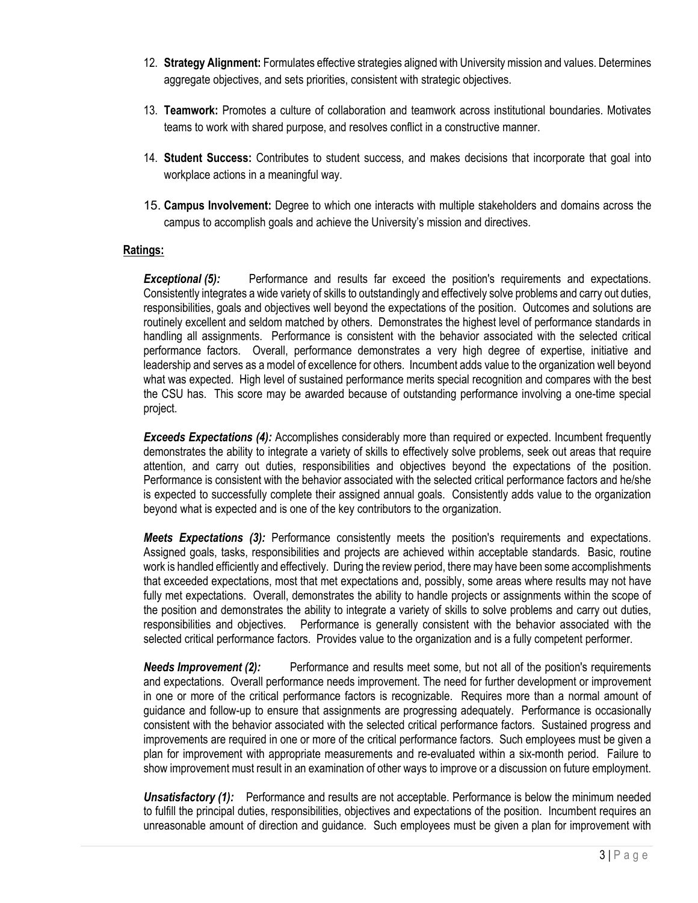- 12. **Strategy Alignment:** Formulates effective strategies aligned with University mission and values. Determines aggregate objectives, and sets priorities, consistent with strategic objectives.
- 13. **Teamwork:** Promotes a culture of collaboration and teamwork across institutional boundaries. Motivates teams to work with shared purpose, and resolves conflict in a constructive manner.
- 14. **Student Success:** Contributes to student success, and makes decisions that incorporate that goal into workplace actions in a meaningful way.
- 15. **Campus Involvement:** Degree to which one interacts with multiple stakeholders and domains across the campus to accomplish goals and achieve the University's mission and directives.

### **Ratings:**

**Exceptional (5):** Performance and results far exceed the position's requirements and expectations. Consistently integrates a wide variety of skills to outstandingly and effectively solve problems and carry out duties, responsibilities, goals and objectives well beyond the expectations of the position. Outcomes and solutions are routinely excellent and seldom matched by others. Demonstrates the highest level of performance standards in handling all assignments. Performance is consistent with the behavior associated with the selected critical performance factors. Overall, performance demonstrates a very high degree of expertise, initiative and leadership and serves as a model of excellence for others. Incumbent adds value to the organization well beyond what was expected. High level of sustained performance merits special recognition and compares with the best the CSU has. This score may be awarded because of outstanding performance involving a one-time special project.

*Exceeds Expectations (4):* Accomplishes considerably more than required or expected. Incumbent frequently demonstrates the ability to integrate a variety of skills to effectively solve problems, seek out areas that require attention, and carry out duties, responsibilities and objectives beyond the expectations of the position. Performance is consistent with the behavior associated with the selected critical performance factors and he/she is expected to successfully complete their assigned annual goals. Consistently adds value to the organization beyond what is expected and is one of the key contributors to the organization.

*Meets Expectations (3):* Performance consistently meets the position's requirements and expectations. Assigned goals, tasks, responsibilities and projects are achieved within acceptable standards. Basic, routine work is handled efficiently and effectively. During the review period, there may have been some accomplishments that exceeded expectations, most that met expectations and, possibly, some areas where results may not have fully met expectations. Overall, demonstrates the ability to handle projects or assignments within the scope of the position and demonstrates the ability to integrate a variety of skills to solve problems and carry out duties, responsibilities and objectives. Performance is generally consistent with the behavior associated with the selected critical performance factors. Provides value to the organization and is a fully competent performer.

*Needs Improvement (2):* Performance and results meet some, but not all of the position's requirements and expectations. Overall performance needs improvement. The need for further development or improvement in one or more of the critical performance factors is recognizable. Requires more than a normal amount of guidance and follow-up to ensure that assignments are progressing adequately. Performance is occasionally consistent with the behavior associated with the selected critical performance factors. Sustained progress and improvements are required in one or more of the critical performance factors. Such employees must be given a plan for improvement with appropriate measurements and re-evaluated within a six-month period. Failure to show improvement must result in an examination of other ways to improve or a discussion on future employment.

**Unsatisfactory (1):** Performance and results are not acceptable. Performance is below the minimum needed to fulfill the principal duties, responsibilities, objectives and expectations of the position. Incumbent requires an unreasonable amount of direction and guidance. Such employees must be given a plan for improvement with